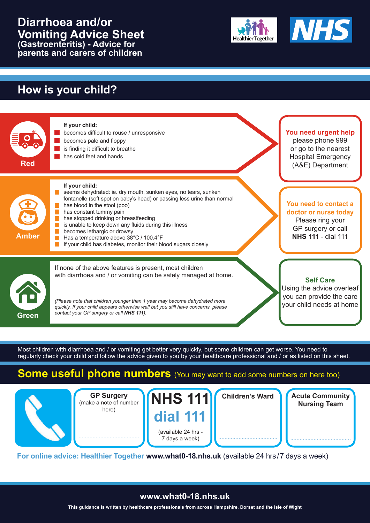#### **Diarrhoea and/or Vomiting Advice Sheet (Gastroenteritis) - Advice for parents and carers of children**





## **How is your child?**



Most children with diarrhoea and / or vomiting get better very quickly, but some children can get worse. You need to regularly check your child and follow the advice given to you by your healthcare professional and / or as listed on this sheet.

### **Some useful phone numbers** (You may want to add some numbers on here too)



**GP Surgery** (make a note of number here)

.......................................

**NHS 111 dial 111** (available 24 hrs - 7 days a week)

......................................

**Children's Ward**

**Acute Community Nursing Team**

.......................................

**For online advice: Healthier Together www.what0-18.nhs.uk** (available 24 hrs / 7 days a week)

#### **www.what0-18.nhs.uk**

**This guidance is written by healthcare professionals from across Hampshire, Dorset and the Isle of Wight**